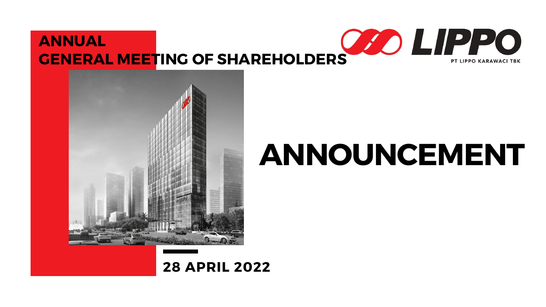## ANNOUNCEMENT

### ANNUAL **ANNUAL GENERAL MEETING OF SHAREHOLDERS CONDUCT BE ARRIVAGE TBK**



#### 28 APRIL 2022

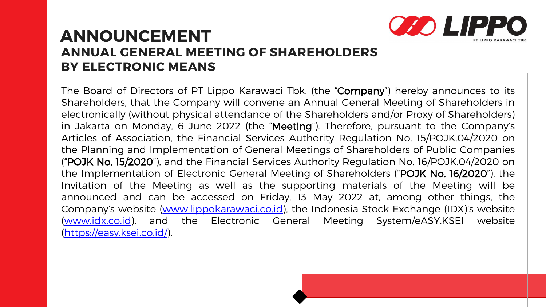#### ANNUAL GENERAL MEETING OF SHAREHOLDERS BY ELECTRONIC MEANS ANNOUNCEMENT

The Board of Directors of PT Lippo Karawaci Tbk. (the "Company") hereby announces to its Shareholders, that the Company will convene an Annual General Meeting of Shareholders in electronically (without physical attendance of the Shareholders and/or Proxy of Shareholders) in Jakarta on Monday, 6 June 2022 (the "Meeting"). Therefore, pursuant to the Company's Articles of Association, the Financial Services Authority Regulation No. 15/POJK.04/2020 on the Planning and Implementation of General Meetings of Shareholders of Public Companies ("POJK No. 15/2020"), and the Financial Services Authority Regulation No. 16/POJK.04/2020 on the Implementation of Electronic General Meeting of Shareholders ("POJK No. 16/2020"), the Invitation of the Meeting as well as the supporting materials of the Meeting will be announced and can be accessed on Friday, 13 May 2022 at, among other things, the Company's website [\(www.lippokarawaci.co.id](http://www.lippokarawaci.co.id/)), the Indonesia Stock Exchange (IDX)'s website [\(www.idx.co.id](http://www.idx.co.id/)), and the Electronic General Meeting System/eASY.KSEI website [\(https://easy.ksei.co.id/\)](https://easy.ksei.co.id/).

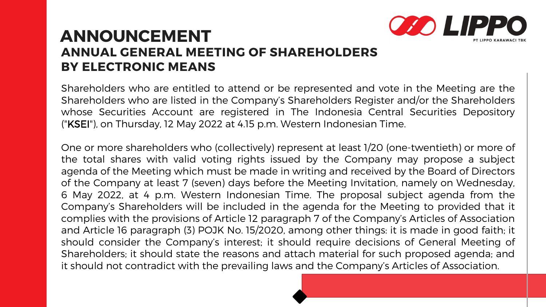Shareholders who are entitled to attend or be represented and vote in the Meeting are the Shareholders who are listed in the Company's Shareholders Register and/or the Shareholders whose Securities Account are registered in The Indonesia Central Securities Depository ("KSEI"), on Thursday, 12 May 2022 at 4.15 p.m. Western Indonesian Time.

#### ANNOUNCEMENT ANNUAL GENERAL MEETING OF SHAREHOLDERS BY ELECTRONIC MEANS

One or more shareholders who (collectively) represent at least 1/20 (one-twentieth) or more of the total shares with valid voting rights issued by the Company may propose a subject agenda of the Meeting which must be made in writing and received by the Board of Directors of the Company at least 7 (seven) days before the Meeting Invitation, namely on Wednesday, 6 May 2022, at 4 p.m. Western Indonesian Time. The proposal subject agenda from the Company's Shareholders will be included in the agenda for the Meeting to provided that it complies with the provisions of Article 12 paragraph 7 of the Company's Articles of Association and Article 16 paragraph (3) POJK No. 15/2020, among other things: it is made in good faith; it should consider the Company's interest; it should require decisions of General Meeting of Shareholders; it should state the reasons and attach material for such proposed agenda; and it should not contradict with the prevailing laws and the Company's Articles of Association.

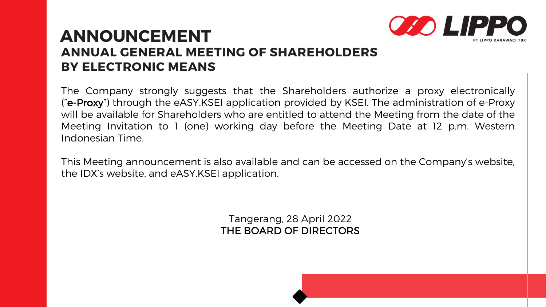The Company strongly suggests that the Shareholders authorize a proxy electronically ("e-Proxy") through the eASY.KSEI application provided by KSEI. The administration of e-Proxy will be available for Shareholders who are entitled to attend the Meeting from the date of the Meeting Invitation to 1 (one) working day before the Meeting Date at 12 p.m. Western Indonesian Time.

#### ANNOUNCEMENT ANNUAL GENERAL MEETING OF SHAREHOLDERS BY ELECTRONIC MEANS

This Meeting announcement is also available and can be accessed on the Company's website, the IDX's website, and eASY.KSEI application.

> Tangerang, 28 April 2022 THE BOARD OF DIRECTORS